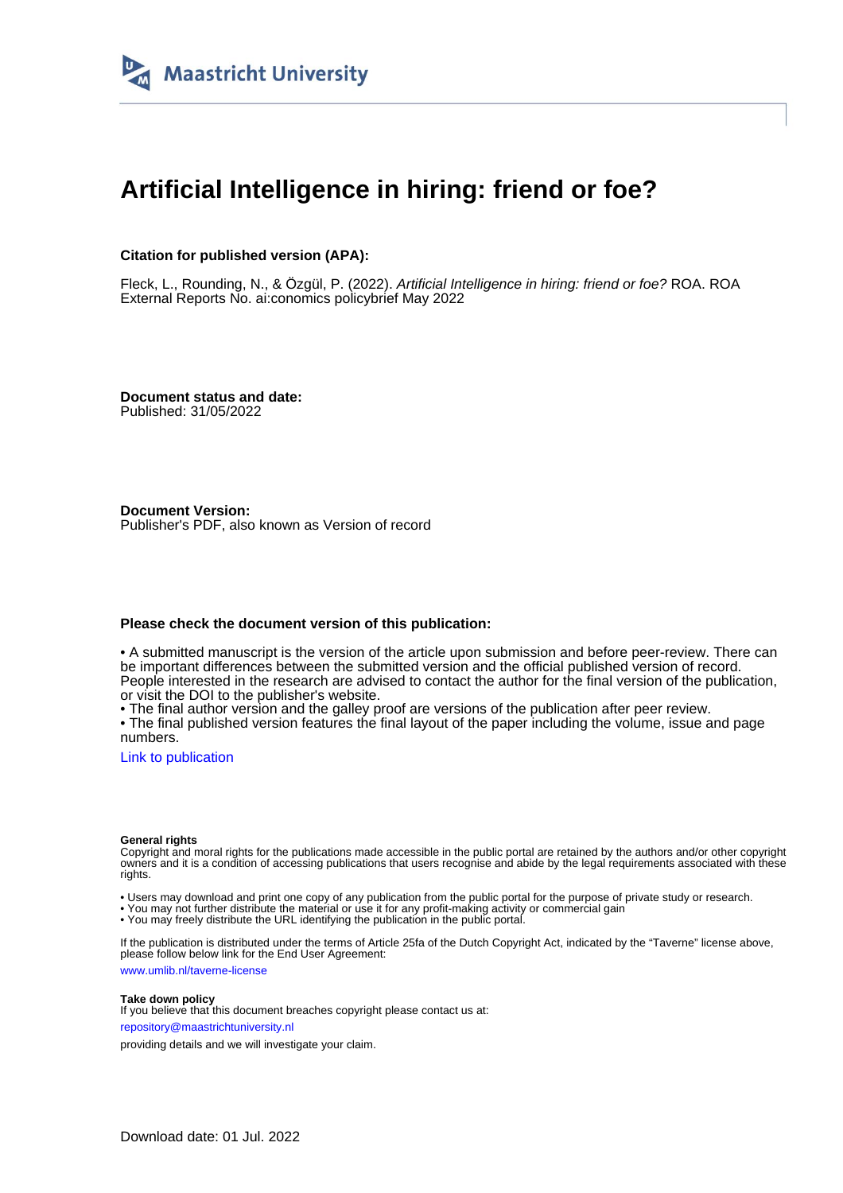

### **Artificial Intelligence in hiring: friend or foe?**

#### **Citation for published version (APA):**

Fleck, L., Rounding, N., & Özgül, P. (2022). Artificial Intelligence in hiring: friend or foe? ROA. ROA External Reports No. ai:conomics policybrief May 2022

**Document status and date:** Published: 31/05/2022

**Document Version:** Publisher's PDF, also known as Version of record

#### **Please check the document version of this publication:**

• A submitted manuscript is the version of the article upon submission and before peer-review. There can be important differences between the submitted version and the official published version of record. People interested in the research are advised to contact the author for the final version of the publication, or visit the DOI to the publisher's website.

• The final author version and the galley proof are versions of the publication after peer review.

• The final published version features the final layout of the paper including the volume, issue and page numbers.

[Link to publication](https://cris.maastrichtuniversity.nl/en/publications/a4b0665f-4283-4dd2-ae7a-4c27cdcf0b63)

#### **General rights**

Copyright and moral rights for the publications made accessible in the public portal are retained by the authors and/or other copyright owners and it is a condition of accessing publications that users recognise and abide by the legal requirements associated with these rights.

• Users may download and print one copy of any publication from the public portal for the purpose of private study or research.

• You may not further distribute the material or use it for any profit-making activity or commercial gain

• You may freely distribute the URL identifying the publication in the public portal.

If the publication is distributed under the terms of Article 25fa of the Dutch Copyright Act, indicated by the "Taverne" license above, please follow below link for the End User Agreement:

www.umlib.nl/taverne-license

#### **Take down policy**

If you believe that this document breaches copyright please contact us at: repository@maastrichtuniversity.nl

providing details and we will investigate your claim.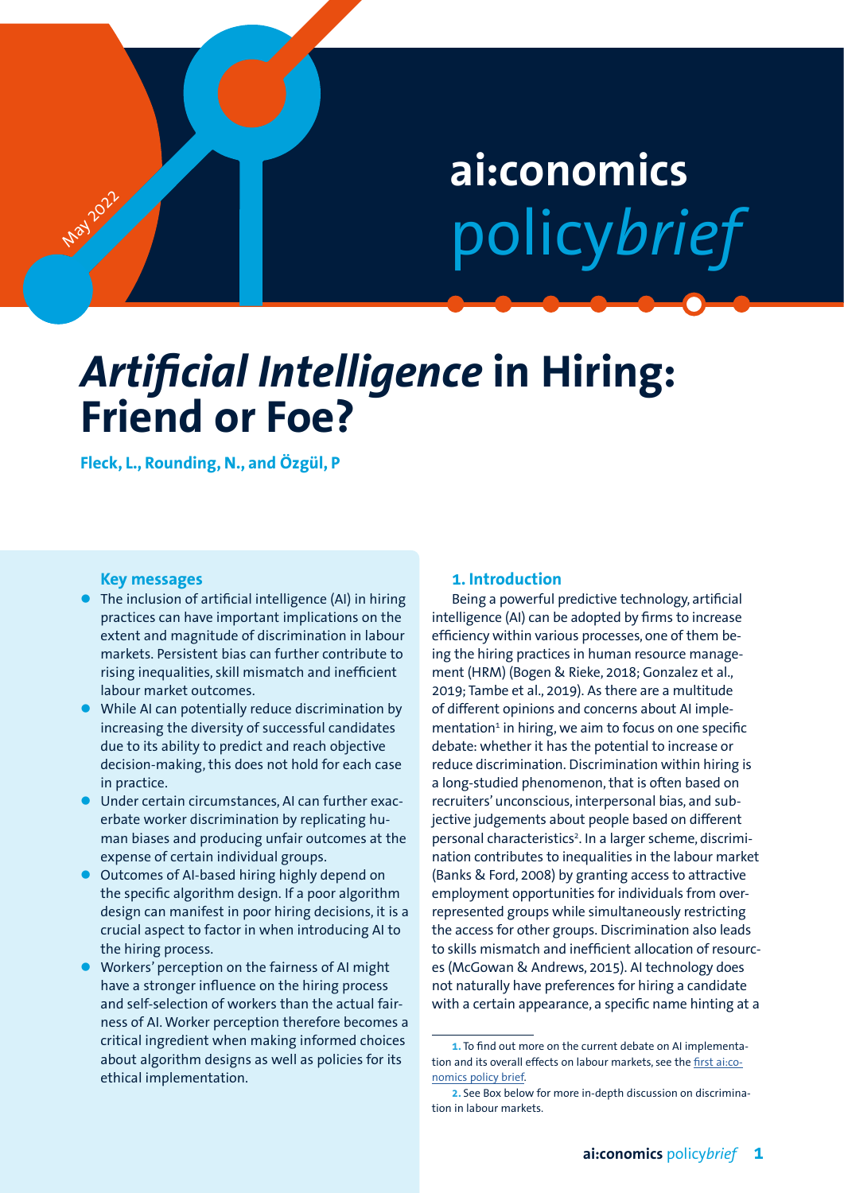# **ai:conomics** policy*brief*

## *Artificial Intelligence* **in Hiring: Friend or Foe?**

**Fleck, L., Rounding, N., and Özgül, P**

#### **Key messages**

**May** 2022

- The inclusion of artificial intelligence (AI) in hiring practices can have important implications on the extent and magnitude of discrimination in labour markets. Persistent bias can further contribute to rising inequalities, skill mismatch and inefficient labour market outcomes.
- While AI can potentially reduce discrimination by increasing the diversity of successful candidates due to its ability to predict and reach objective decision-making, this does not hold for each case in practice.
- Under certain circumstances, AI can further exacerbate worker discrimination by replicating human biases and producing unfair outcomes at the expense of certain individual groups.
- Outcomes of AI-based hiring highly depend on the specific algorithm design. If a poor algorithm design can manifest in poor hiring decisions, it is a crucial aspect to factor in when introducing AI to the hiring process.
- Workers' perception on the fairness of AI might have a stronger influence on the hiring process and self-selection of workers than the actual fairness of AI. Worker perception therefore becomes a critical ingredient when making informed choices about algorithm designs as well as policies for its ethical implementation.

#### **1. Introduction**

Being a powerful predictive technology, artificial intelligence (AI) can be adopted by firms to increase efficiency within various processes, one of them being the hiring practices in human resource management (HRM) (Bogen & Rieke, 2018; Gonzalez et al., 2019; Tambe et al., 2019). As there are a multitude of different opinions and concerns about AI implementation<sup>1</sup> in hiring, we aim to focus on one specific debate: whether it has the potential to increase or reduce discrimination. Discrimination within hiring is a long-studied phenomenon, that is often based on recruiters' unconscious, interpersonal bias, and subjective judgements about people based on different personal characteristics<sup>2</sup>. In a larger scheme, discrimination contributes to inequalities in the labour market (Banks & Ford, 2008) by granting access to attractive employment opportunities for individuals from overrepresented groups while simultaneously restricting the access for other groups. Discrimination also leads to skills mismatch and inefficient allocation of resources (McGowan & Andrews, 2015). AI technology does not naturally have preferences for hiring a candidate with a certain appearance, a specific name hinting at a

**<sup>1.</sup>** To find out more on the current debate on AI implementation and its overall effects on labour markets, see the [first ai:co](https://cris.maastrichtuniversity.nl/ws/portalfiles/portal/76751921/aiconomics_policybrief_eng.pdf)[nomics policy brief.](https://cris.maastrichtuniversity.nl/ws/portalfiles/portal/76751921/aiconomics_policybrief_eng.pdf)

**<sup>2.</sup>** See Box below for more in-depth discussion on discrimination in labour markets.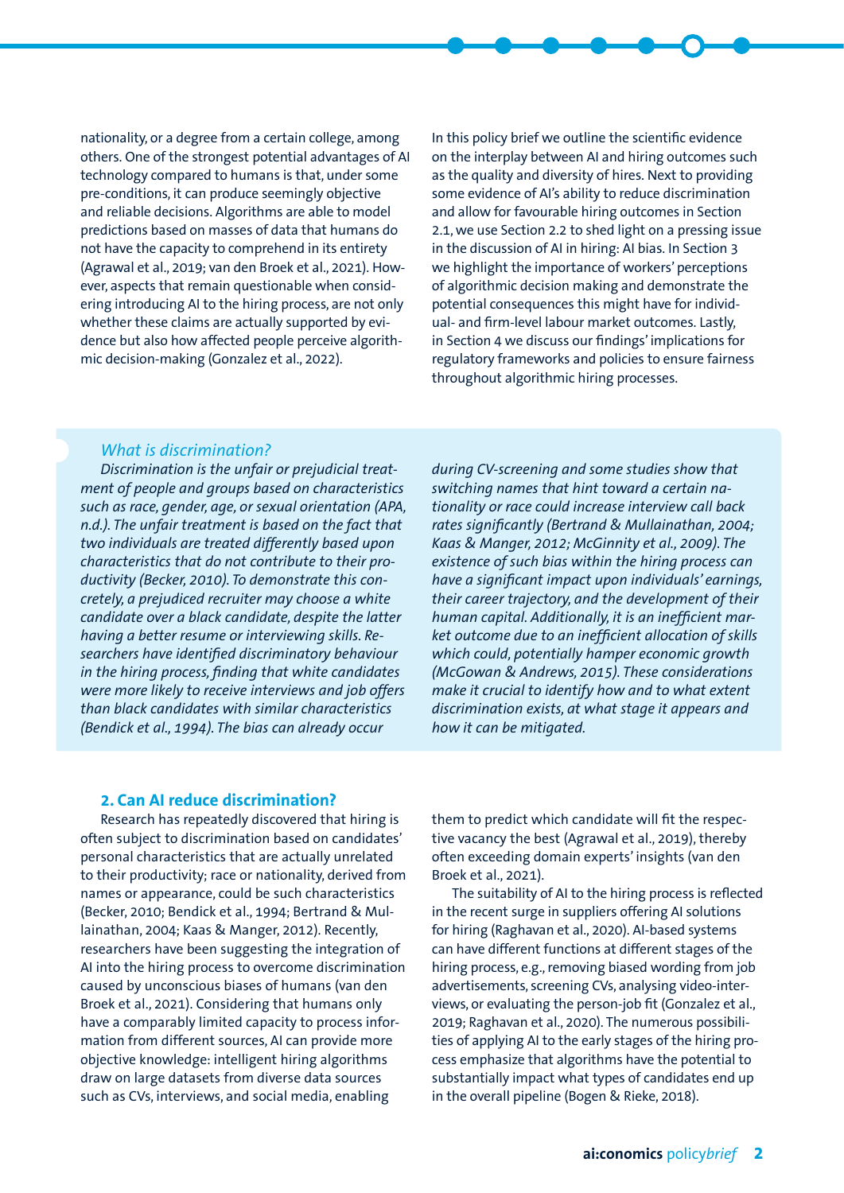nationality, or a degree from a certain college, among others. One of the strongest potential advantages of AI technology compared to humans is that, under some pre-conditions, it can produce seemingly objective and reliable decisions. Algorithms are able to model predictions based on masses of data that humans do not have the capacity to comprehend in its entirety (Agrawal et al., 2019; van den Broek et al., 2021). However, aspects that remain questionable when considering introducing AI to the hiring process, are not only whether these claims are actually supported by evidence but also how affected people perceive algorithmic decision-making (Gonzalez et al., 2022).

In this policy brief we outline the scientific evidence on the interplay between AI and hiring outcomes such as the quality and diversity of hires. Next to providing some evidence of AI's ability to reduce discrimination and allow for favourable hiring outcomes in Section 2.1, we use Section 2.2 to shed light on a pressing issue in the discussion of AI in hiring: AI bias. In Section 3 we highlight the importance of workers' perceptions of algorithmic decision making and demonstrate the potential consequences this might have for individual- and firm-level labour market outcomes. Lastly, in Section 4 we discuss our findings' implications for regulatory frameworks and policies to ensure fairness throughout algorithmic hiring processes.

#### *What is discrimination?*

*Discrimination is the unfair or prejudicial treatment of people and groups based on characteristics such as race, gender, age, or sexual orientation (APA, n.d.). The unfair treatment is based on the fact that two individuals are treated differently based upon characteristics that do not contribute to their productivity (Becker, 2010). To demonstrate this concretely, a prejudiced recruiter may choose a white candidate over a black candidate, despite the latter having a better resume or interviewing skills. Researchers have identified discriminatory behaviour in the hiring process, finding that white candidates were more likely to receive interviews and job offers than black candidates with similar characteristics (Bendick et al., 1994). The bias can already occur* 

*during CV-screening and some studies show that switching names that hint toward a certain nationality or race could increase interview call back rates significantly (Bertrand & Mullainathan, 2004; Kaas & Manger, 2012; McGinnity et al., 2009). The existence of such bias within the hiring process can have a significant impact upon individuals' earnings, their career trajectory, and the development of their human capital. Additionally, it is an inefficient market outcome due to an inefficient allocation of skills which could, potentially hamper economic growth (McGowan & Andrews, 2015). These considerations make it crucial to identify how and to what extent discrimination exists, at what stage it appears and how it can be mitigated.* 

#### **2. Can AI reduce discrimination?**

Research has repeatedly discovered that hiring is often subject to discrimination based on candidates' personal characteristics that are actually unrelated to their productivity; race or nationality, derived from names or appearance, could be such characteristics (Becker, 2010; Bendick et al., 1994; Bertrand & Mullainathan, 2004; Kaas & Manger, 2012). Recently, researchers have been suggesting the integration of AI into the hiring process to overcome discrimination caused by unconscious biases of humans (van den Broek et al., 2021). Considering that humans only have a comparably limited capacity to process information from different sources, AI can provide more objective knowledge: intelligent hiring algorithms draw on large datasets from diverse data sources such as CVs, interviews, and social media, enabling

them to predict which candidate will fit the respective vacancy the best (Agrawal et al., 2019), thereby often exceeding domain experts' insights (van den Broek et al., 2021).

The suitability of AI to the hiring process is reflected in the recent surge in suppliers offering AI solutions for hiring (Raghavan et al., 2020). AI-based systems can have different functions at different stages of the hiring process, e.g., removing biased wording from job advertisements, screening CVs, analysing video-interviews, or evaluating the person-job fit (Gonzalez et al., 2019; Raghavan et al., 2020). The numerous possibilities of applying AI to the early stages of the hiring process emphasize that algorithms have the potential to substantially impact what types of candidates end up in the overall pipeline (Bogen & Rieke, 2018).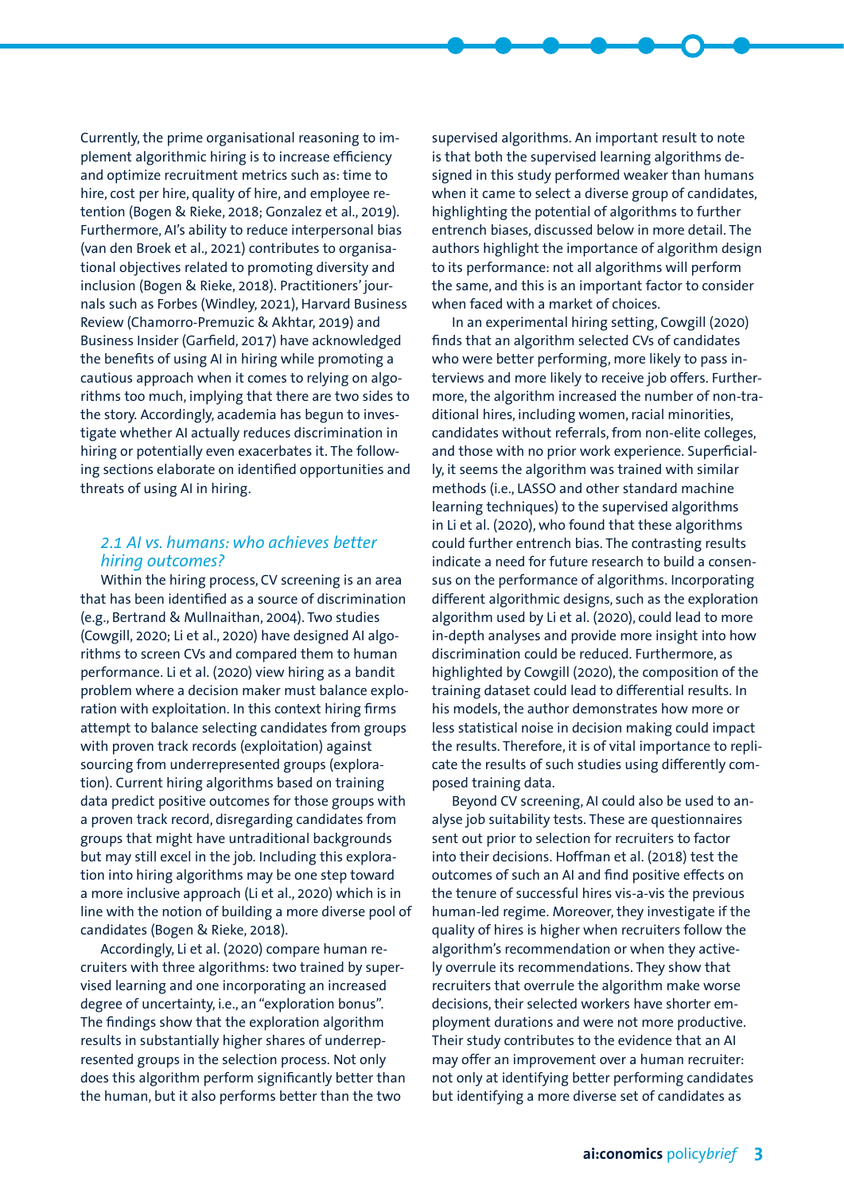Currently, the prime organisational reasoning to implement algorithmic hiring is to increase efficiency and optimize recruitment metrics such as: time to hire, cost per hire, quality of hire, and employee retention (Bogen & Rieke, 2018; Gonzalez et al., 2019). Furthermore, AI's ability to reduce interpersonal bias (van den Broek et al., 2021) contributes to organisational objectives related to promoting diversity and inclusion (Bogen & Rieke, 2018). Practitioners' journals such as Forbes (Windley, 2021), Harvard Business Review (Chamorro-Premuzic & Akhtar, 2019) and Business Insider (Garfield, 2017) have acknowledged the benefits of using AI in hiring while promoting a cautious approach when it comes to relying on algorithms too much, implying that there are two sides to the story. Accordingly, academia has begun to investigate whether AI actually reduces discrimination in hiring or potentially even exacerbates it. The following sections elaborate on identified opportunities and threats of using AI in hiring.

#### *2.1 AI vs. humans: who achieves better hiring outcomes?*

Within the hiring process, CV screening is an area that has been identified as a source of discrimination (e.g., Bertrand & Mullnaithan, 2004). Two studies (Cowgill, 2020; Li et al., 2020) have designed AI algorithms to screen CVs and compared them to human performance. Li et al. (2020) view hiring as a bandit problem where a decision maker must balance exploration with exploitation. In this context hiring firms attempt to balance selecting candidates from groups with proven track records (exploitation) against sourcing from underrepresented groups (exploration). Current hiring algorithms based on training data predict positive outcomes for those groups with a proven track record, disregarding candidates from groups that might have untraditional backgrounds but may still excel in the job. Including this exploration into hiring algorithms may be one step toward a more inclusive approach (Li et al., 2020) which is in line with the notion of building a more diverse pool of candidates (Bogen & Rieke, 2018).

Accordingly, Li et al. (2020) compare human recruiters with three algorithms: two trained by supervised learning and one incorporating an increased degree of uncertainty, i.e., an "exploration bonus". The findings show that the exploration algorithm results in substantially higher shares of underrepresented groups in the selection process. Not only does this algorithm perform significantly better than the human, but it also performs better than the two

supervised algorithms. An important result to note is that both the supervised learning algorithms designed in this study performed weaker than humans when it came to select a diverse group of candidates, highlighting the potential of algorithms to further entrench biases, discussed below in more detail. The authors highlight the importance of algorithm design to its performance: not all algorithms will perform the same, and this is an important factor to consider when faced with a market of choices.

In an experimental hiring setting, Cowgill (2020) finds that an algorithm selected CVs of candidates who were better performing, more likely to pass interviews and more likely to receive job offers. Furthermore, the algorithm increased the number of non-traditional hires, including women, racial minorities, candidates without referrals, from non-elite colleges, and those with no prior work experience. Superficially, it seems the algorithm was trained with similar methods (i.e., LASSO and other standard machine learning techniques) to the supervised algorithms in Li et al. (2020), who found that these algorithms could further entrench bias. The contrasting results indicate a need for future research to build a consensus on the performance of algorithms. Incorporating different algorithmic designs, such as the exploration algorithm used by Li et al. (2020), could lead to more in-depth analyses and provide more insight into how discrimination could be reduced. Furthermore, as highlighted by Cowgill (2020), the composition of the training dataset could lead to differential results. In his models, the author demonstrates how more or less statistical noise in decision making could impact the results. Therefore, it is of vital importance to replicate the results of such studies using differently composed training data.

Beyond CV screening, AI could also be used to analyse job suitability tests. These are questionnaires sent out prior to selection for recruiters to factor into their decisions. Hoffman et al. (2018) test the outcomes of such an AI and find positive effects on the tenure of successful hires vis-a-vis the previous human-led regime. Moreover, they investigate if the quality of hires is higher when recruiters follow the algorithm's recommendation or when they actively overrule its recommendations. They show that recruiters that overrule the algorithm make worse decisions, their selected workers have shorter employment durations and were not more productive. Their study contributes to the evidence that an AI may offer an improvement over a human recruiter: not only at identifying better performing candidates but identifying a more diverse set of candidates as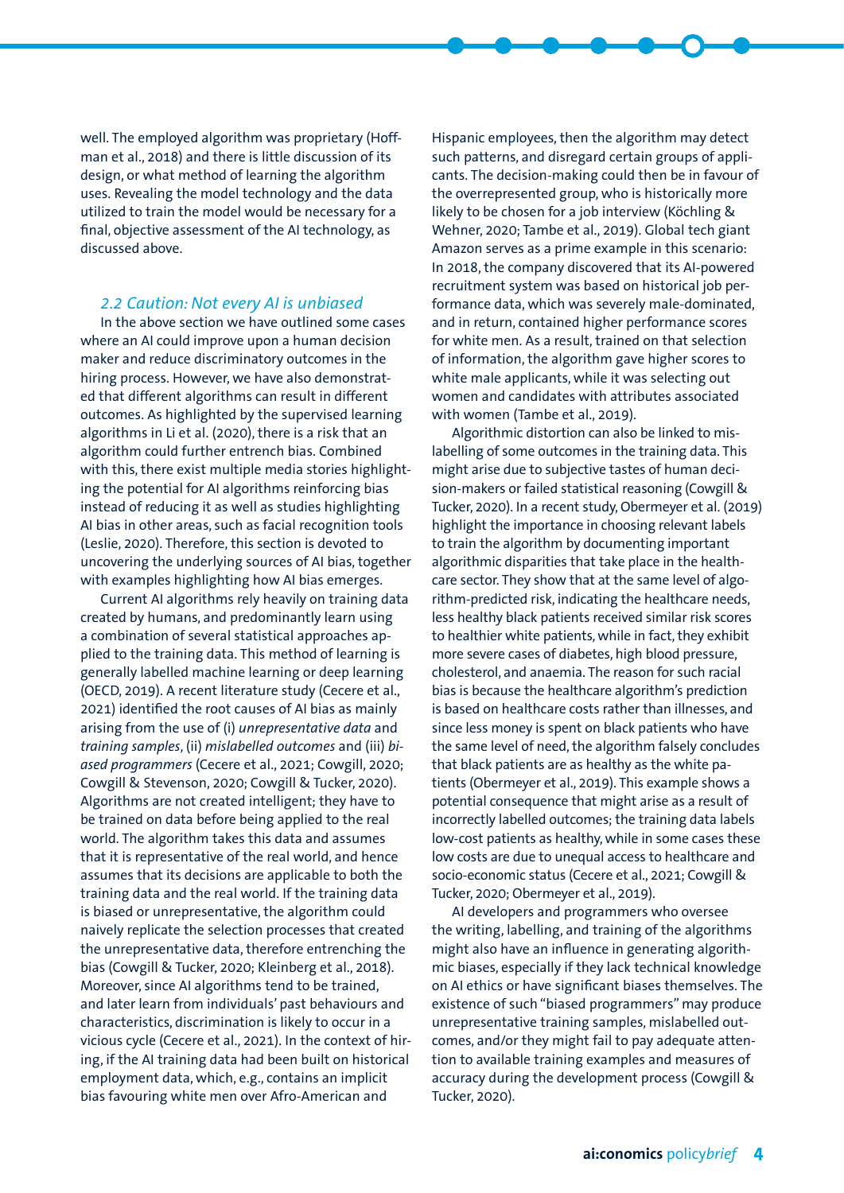well. The employed algorithm was proprietary (Hoffman et al., 2018) and there is little discussion of its design, or what method of learning the algorithm uses. Revealing the model technology and the data utilized to train the model would be necessary for a final, objective assessment of the AI technology, as discussed above.

#### *2.2 Caution: Not every AI is unbiased*

In the above section we have outlined some cases where an AI could improve upon a human decision maker and reduce discriminatory outcomes in the hiring process. However, we have also demonstrated that different algorithms can result in different outcomes. As highlighted by the supervised learning algorithms in Li et al. (2020), there is a risk that an algorithm could further entrench bias. Combined with this, there exist multiple media stories highlighting the potential for AI algorithms reinforcing bias instead of reducing it as well as studies highlighting AI bias in other areas, such as facial recognition tools (Leslie, 2020). Therefore, this section is devoted to uncovering the underlying sources of AI bias, together with examples highlighting how AI bias emerges.

Current AI algorithms rely heavily on training data created by humans, and predominantly learn using a combination of several statistical approaches applied to the training data. This method of learning is generally labelled machine learning or deep learning (OECD, 2019). A recent literature study (Cecere et al., 2021) identified the root causes of AI bias as mainly arising from the use of (i) *unrepresentative data* and *training samples*, (ii) *mislabelled outcomes* and (iii) *biased programmers* (Cecere et al., 2021; Cowgill, 2020; Cowgill & Stevenson, 2020; Cowgill & Tucker, 2020). Algorithms are not created intelligent; they have to be trained on data before being applied to the real world. The algorithm takes this data and assumes that it is representative of the real world, and hence assumes that its decisions are applicable to both the training data and the real world. If the training data is biased or unrepresentative, the algorithm could naively replicate the selection processes that created the unrepresentative data, therefore entrenching the bias (Cowgill & Tucker, 2020; Kleinberg et al., 2018). Moreover, since AI algorithms tend to be trained, and later learn from individuals' past behaviours and characteristics, discrimination is likely to occur in a vicious cycle (Cecere et al., 2021). In the context of hiring, if the AI training data had been built on historical employment data, which, e.g., contains an implicit bias favouring white men over Afro-American and

Hispanic employees, then the algorithm may detect such patterns, and disregard certain groups of applicants. The decision-making could then be in favour of the overrepresented group, who is historically more likely to be chosen for a job interview (Köchling & Wehner, 2020; Tambe et al., 2019). Global tech giant Amazon serves as a prime example in this scenario: In 2018, the company discovered that its AI-powered recruitment system was based on historical job performance data, which was severely male-dominated, and in return, contained higher performance scores for white men. As a result, trained on that selection of information, the algorithm gave higher scores to white male applicants, while it was selecting out women and candidates with attributes associated with women (Tambe et al., 2019).

Algorithmic distortion can also be linked to mislabelling of some outcomes in the training data. This might arise due to subjective tastes of human decision-makers or failed statistical reasoning (Cowgill & Tucker, 2020). In a recent study, Obermeyer et al. (2019) highlight the importance in choosing relevant labels to train the algorithm by documenting important algorithmic disparities that take place in the healthcare sector. They show that at the same level of algorithm-predicted risk, indicating the healthcare needs, less healthy black patients received similar risk scores to healthier white patients, while in fact, they exhibit more severe cases of diabetes, high blood pressure, cholesterol, and anaemia. The reason for such racial bias is because the healthcare algorithm's prediction is based on healthcare costs rather than illnesses, and since less money is spent on black patients who have the same level of need, the algorithm falsely concludes that black patients are as healthy as the white patients (Obermeyer et al., 2019). This example shows a potential consequence that might arise as a result of incorrectly labelled outcomes; the training data labels low-cost patients as healthy, while in some cases these low costs are due to unequal access to healthcare and socio-economic status (Cecere et al., 2021; Cowgill & Tucker, 2020; Obermeyer et al., 2019).

AI developers and programmers who oversee the writing, labelling, and training of the algorithms might also have an influence in generating algorithmic biases, especially if they lack technical knowledge on AI ethics or have significant biases themselves. The existence of such "biased programmers" may produce unrepresentative training samples, mislabelled outcomes, and/or they might fail to pay adequate attention to available training examples and measures of accuracy during the development process (Cowgill & Tucker, 2020).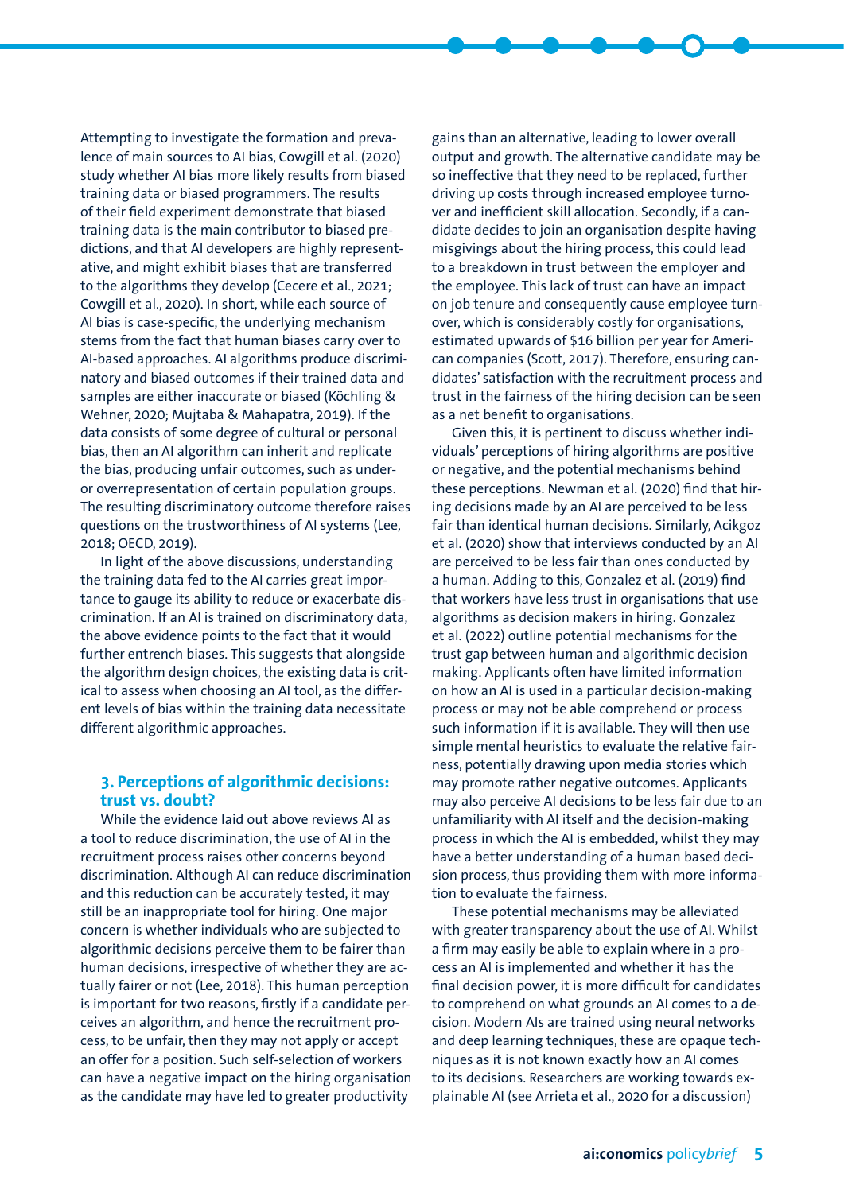Attempting to investigate the formation and prevalence of main sources to AI bias, Cowgill et al. (2020) study whether AI bias more likely results from biased training data or biased programmers. The results of their field experiment demonstrate that biased training data is the main contributor to biased predictions, and that AI developers are highly representative, and might exhibit biases that are transferred to the algorithms they develop (Cecere et al., 2021; Cowgill et al., 2020). In short, while each source of AI bias is case-specific, the underlying mechanism stems from the fact that human biases carry over to AI-based approaches. AI algorithms produce discriminatory and biased outcomes if their trained data and samples are either inaccurate or biased (Köchling & Wehner, 2020; Mujtaba & Mahapatra, 2019). If the data consists of some degree of cultural or personal bias, then an AI algorithm can inherit and replicate the bias, producing unfair outcomes, such as underor overrepresentation of certain population groups. The resulting discriminatory outcome therefore raises questions on the trustworthiness of AI systems (Lee, 2018; OECD, 2019).

In light of the above discussions, understanding the training data fed to the AI carries great importance to gauge its ability to reduce or exacerbate discrimination. If an AI is trained on discriminatory data, the above evidence points to the fact that it would further entrench biases. This suggests that alongside the algorithm design choices, the existing data is critical to assess when choosing an AI tool, as the different levels of bias within the training data necessitate different algorithmic approaches.

#### **3. Perceptions of algorithmic decisions: trust vs. doubt?**

While the evidence laid out above reviews AI as a tool to reduce discrimination, the use of AI in the recruitment process raises other concerns beyond discrimination. Although AI can reduce discrimination and this reduction can be accurately tested, it may still be an inappropriate tool for hiring. One major concern is whether individuals who are subjected to algorithmic decisions perceive them to be fairer than human decisions, irrespective of whether they are actually fairer or not (Lee, 2018). This human perception is important for two reasons, firstly if a candidate perceives an algorithm, and hence the recruitment process, to be unfair, then they may not apply or accept an offer for a position. Such self-selection of workers can have a negative impact on the hiring organisation as the candidate may have led to greater productivity

gains than an alternative, leading to lower overall output and growth. The alternative candidate may be so ineffective that they need to be replaced, further driving up costs through increased employee turnover and inefficient skill allocation. Secondly, if a candidate decides to join an organisation despite having misgivings about the hiring process, this could lead to a breakdown in trust between the employer and the employee. This lack of trust can have an impact on job tenure and consequently cause employee turnover, which is considerably costly for organisations, estimated upwards of \$16 billion per year for American companies (Scott, 2017). Therefore, ensuring candidates' satisfaction with the recruitment process and trust in the fairness of the hiring decision can be seen as a net benefit to organisations.

Given this, it is pertinent to discuss whether individuals' perceptions of hiring algorithms are positive or negative, and the potential mechanisms behind these perceptions. Newman et al. (2020) find that hiring decisions made by an AI are perceived to be less fair than identical human decisions. Similarly, Acikgoz et al. (2020) show that interviews conducted by an AI are perceived to be less fair than ones conducted by a human. Adding to this, Gonzalez et al. (2019) find that workers have less trust in organisations that use algorithms as decision makers in hiring. Gonzalez et al. (2022) outline potential mechanisms for the trust gap between human and algorithmic decision making. Applicants often have limited information on how an AI is used in a particular decision-making process or may not be able comprehend or process such information if it is available. They will then use simple mental heuristics to evaluate the relative fairness, potentially drawing upon media stories which may promote rather negative outcomes. Applicants may also perceive AI decisions to be less fair due to an unfamiliarity with AI itself and the decision-making process in which the AI is embedded, whilst they may have a better understanding of a human based decision process, thus providing them with more information to evaluate the fairness.

These potential mechanisms may be alleviated with greater transparency about the use of AI. Whilst a firm may easily be able to explain where in a process an AI is implemented and whether it has the final decision power, it is more difficult for candidates to comprehend on what grounds an AI comes to a decision. Modern AIs are trained using neural networks and deep learning techniques, these are opaque techniques as it is not known exactly how an AI comes to its decisions. Researchers are working towards explainable AI (see Arrieta et al., 2020 for a discussion)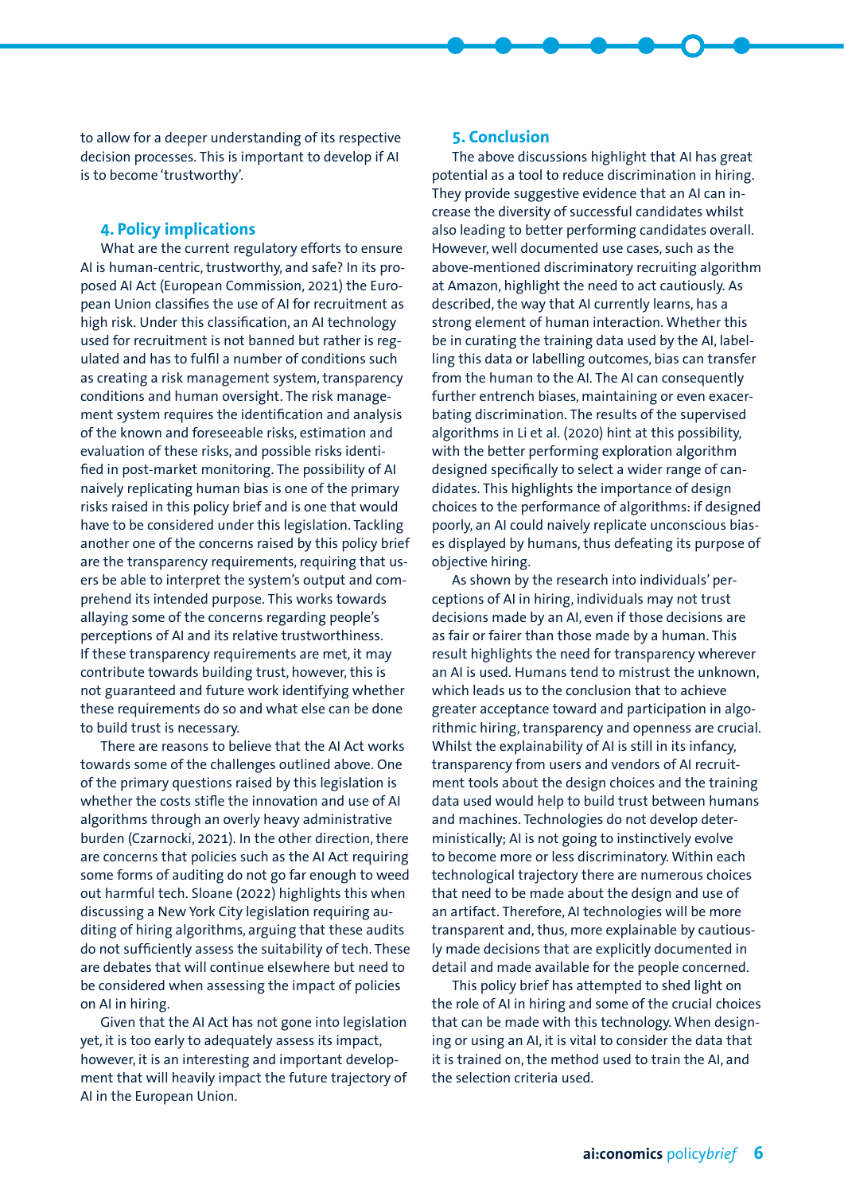to allow for a deeper understanding of its respective decision processes. This is important to develop if AI is to become 'trustworthy'.

#### **4. Policy implications**

What are the current regulatory efforts to ensure AI is human-centric, trustworthy, and safe? In its proposed AI Act (European Commission, 2021) the European Union classifies the use of AI for recruitment as high risk. Under this classification, an AI technology used for recruitment is not banned but rather is regulated and has to fulfil a number of conditions such as creating a risk management system, transparency conditions and human oversight. The risk management system requires the identification and analysis of the known and foreseeable risks, estimation and evaluation of these risks, and possible risks identified in post-market monitoring. The possibility of AI naively replicating human bias is one of the primary risks raised in this policy brief and is one that would have to be considered under this legislation. Tackling another one of the concerns raised by this policy brief are the transparency requirements, requiring that users be able to interpret the system's output and comprehend its intended purpose. This works towards allaying some of the concerns regarding people's perceptions of AI and its relative trustworthiness. If these transparency requirements are met, it may contribute towards building trust, however, this is not guaranteed and future work identifying whether these requirements do so and what else can be done to build trust is necessary.

There are reasons to believe that the AI Act works towards some of the challenges outlined above. One of the primary questions raised by this legislation is whether the costs stifle the innovation and use of AI algorithms through an overly heavy administrative burden (Czarnocki, 2021). In the other direction, there are concerns that policies such as the AI Act requiring some forms of auditing do not go far enough to weed out harmful tech. Sloane (2022) highlights this when discussing a New York City legislation requiring auditing of hiring algorithms, arguing that these audits do not sufficiently assess the suitability of tech. These are debates that will continue elsewhere but need to be considered when assessing the impact of policies on AI in hiring.

Given that the AI Act has not gone into legislation yet, it is too early to adequately assess its impact, however, it is an interesting and important development that will heavily impact the future trajectory of AI in the European Union.

#### **5. Conclusion**

The above discussions highlight that AI has great potential as a tool to reduce discrimination in hiring. They provide suggestive evidence that an AI can increase the diversity of successful candidates whilst also leading to better performing candidates overall. However, well documented use cases, such as the above-mentioned discriminatory recruiting algorithm at Amazon, highlight the need to act cautiously. As described, the way that AI currently learns, has a strong element of human interaction. Whether this be in curating the training data used by the AI, labelling this data or labelling outcomes, bias can transfer from the human to the AI. The AI can consequently further entrench biases, maintaining or even exacerbating discrimination. The results of the supervised algorithms in Li et al. (2020) hint at this possibility, with the better performing exploration algorithm designed specifically to select a wider range of candidates. This highlights the importance of design choices to the performance of algorithms: if designed poorly, an AI could naively replicate unconscious biases displayed by humans, thus defeating its purpose of objective hiring.

As shown by the research into individuals' perceptions of AI in hiring, individuals may not trust decisions made by an AI, even if those decisions are as fair or fairer than those made by a human. This result highlights the need for transparency wherever an AI is used. Humans tend to mistrust the unknown, which leads us to the conclusion that to achieve greater acceptance toward and participation in algorithmic hiring, transparency and openness are crucial. Whilst the explainability of AI is still in its infancy, transparency from users and vendors of AI recruitment tools about the design choices and the training data used would help to build trust between humans and machines. Technologies do not develop deterministically; AI is not going to instinctively evolve to become more or less discriminatory. Within each technological trajectory there are numerous choices that need to be made about the design and use of an artifact. Therefore, AI technologies will be more transparent and, thus, more explainable by cautiously made decisions that are explicitly documented in detail and made available for the people concerned.

This policy brief has attempted to shed light on the role of AI in hiring and some of the crucial choices that can be made with this technology. When designing or using an AI, it is vital to consider the data that it is trained on, the method used to train the AI, and the selection criteria used.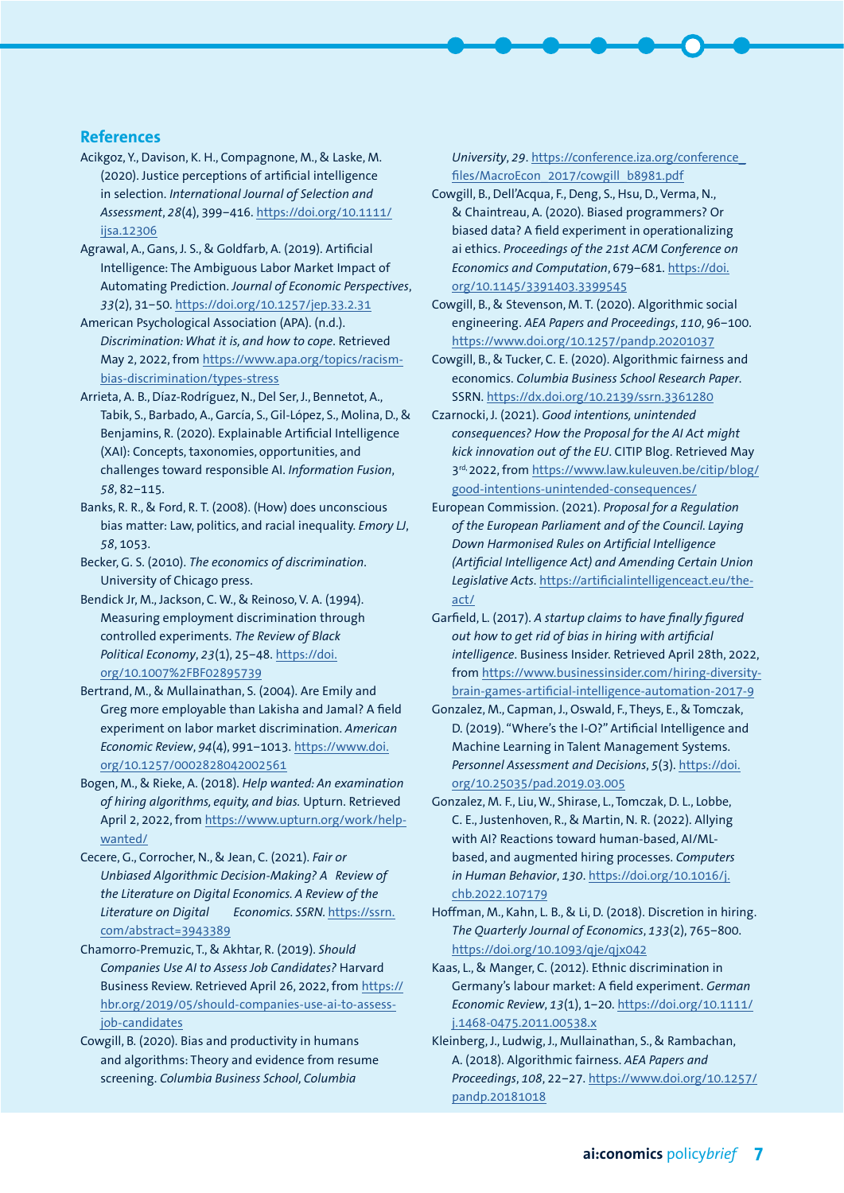#### **References**

- Acikgoz, Y., Davison, K. H., Compagnone, M., & Laske, M. (2020). Justice perceptions of artificial intelligence in selection. *International Journal of Selection and Assessment*, *28*(4), 399–416. [https://doi.org/10.1111/](https://doi.org/10.1111/ijsa.12306) [ijsa.12306](https://doi.org/10.1111/ijsa.12306)
- Agrawal, A., Gans, J. S., & Goldfarb, A. (2019). Artificial Intelligence: The Ambiguous Labor Market Impact of Automating Prediction. *Journal of Economic Perspectives*, *33*(2), 31–50. <https://doi.org/10.1257/jep.33.2.31>
- American Psychological Association (APA). (n.d.). *Discrimination: What it is, and how to cope*. Retrieved May 2, 2022, from [https://www.apa.org/topics/racism](https://www.apa.org/topics/racism-bias-discrimination/types-stress)[bias-discrimination/types-stress](https://www.apa.org/topics/racism-bias-discrimination/types-stress)
- Arrieta, A. B., Díaz-Rodríguez, N., Del Ser, J., Bennetot, A., Tabik, S., Barbado, A., García, S., Gil-López, S., Molina, D., & Benjamins, R. (2020). Explainable Artificial Intelligence (XAI): Concepts, taxonomies, opportunities, and challenges toward responsible AI. *Information Fusion*, *58*, 82–115.
- Banks, R. R., & Ford, R. T. (2008). (How) does unconscious bias matter: Law, politics, and racial inequality. *Emory LJ*, *58*, 1053.
- Becker, G. S. (2010). *The economics of discrimination*. University of Chicago press.
- Bendick Jr, M., Jackson, C. W., & Reinoso, V. A. (1994). Measuring employment discrimination through controlled experiments. *The Review of Black Political Economy*, *23*(1), 25–48. [https://doi.](https://doi.org/10.1007%2FBF02895739) [org/10.1007%2FBF02895739](https://doi.org/10.1007%2FBF02895739)
- Bertrand, M., & Mullainathan, S. (2004). Are Emily and Greg more employable than Lakisha and Jamal? A field experiment on labor market discrimination. *American Economic Review*, *94*(4), 991–1013. [https://www.doi.](https://www.doi.org/10.1257/0002828042002561) [org/10.1257/0002828042002561](https://www.doi.org/10.1257/0002828042002561)
- Bogen, M., & Rieke, A. (2018). *Help wanted: An examination of hiring algorithms, equity, and bias.* Upturn. Retrieved April 2, 2022, from [https://www.upturn.org/work/help](https://www.upturn.org/work/help-wanted/)[wanted/](https://www.upturn.org/work/help-wanted/)
- Cecere, G., Corrocher, N., & Jean, C. (2021). *Fair or Unbiased Algorithmic Decision-Making? A Review of the Literature on Digital Economics. A Review of the Literature on Digital Economics. SSRN.* [https://ssrn.](https://ssrn.com/abstract=3943389) [com/abstract=3943389](https://ssrn.com/abstract=3943389)
- Chamorro-Premuzic, T., & Akhtar, R. (2019). *Should Companies Use AI to Assess Job Candidates?* Harvard Business Review. Retrieved April 26, 2022, from [https://](https://hbr.org/2019/05/should-companies-use-ai-to-assess-job-candidates) [hbr.org/2019/05/should-companies-use-ai-to-assess](https://hbr.org/2019/05/should-companies-use-ai-to-assess-job-candidates)[job-candidates](https://hbr.org/2019/05/should-companies-use-ai-to-assess-job-candidates)
- Cowgill, B. (2020). Bias and productivity in humans and algorithms: Theory and evidence from resume screening. *Columbia Business School, Columbia*

*University*, *29*. [https://conference.iza.org/conference\\_](https://conference.iza.org/conference_files/MacroEcon_2017/cowgill_b8981.pdf) [files/MacroEcon\\_2017/cowgill\\_b8981.pdf](https://conference.iza.org/conference_files/MacroEcon_2017/cowgill_b8981.pdf)

- Cowgill, B., Dell'Acqua, F., Deng, S., Hsu, D., Verma, N., & Chaintreau, A. (2020). Biased programmers? Or biased data? A field experiment in operationalizing ai ethics. *Proceedings of the 21st ACM Conference on Economics and Computation*, 679–681. [https://doi.](https://doi.org/10.1145/3391403.3399545) [org/10.1145/3391403.3399545](https://doi.org/10.1145/3391403.3399545)
- Cowgill, B., & Stevenson, M. T. (2020). Algorithmic social engineering. *AEA Papers and Proceedings*, *110*, 96–100. <https://www.doi.org/10.1257/pandp.20201037>
- Cowgill, B., & Tucker, C. E. (2020). Algorithmic fairness and economics. *Columbia Business School Research Paper*. SSRN.<https://dx.doi.org/10.2139/ssrn.3361280>
- Czarnocki, J. (2021). *Good intentions, unintended consequences? How the Proposal for the AI Act might kick innovation out of the EU*. CITIP Blog. Retrieved May 3rd, 2022, from [https://www.law.kuleuven.be/citip/blog/](https://www.law.kuleuven.be/citip/blog/good-intentions-unintended-consequences/) [good-intentions-unintended-consequences/](https://www.law.kuleuven.be/citip/blog/good-intentions-unintended-consequences/)
- European Commission. (2021). *Proposal for a Regulation of the European Parliament and of the Council. Laying Down Harmonised Rules on Artificial Intelligence (Artificial Intelligence Act) and Amending Certain Union Legislative Acts*. [https://artificialintelligenceact.eu/the](https://artificialintelligenceact.eu/the-act/)[act/](https://artificialintelligenceact.eu/the-act/)
- Garfield, L. (2017). *A startup claims to have finally figured out how to get rid of bias in hiring with artificial intelligence*. Business Insider. Retrieved April 28th, 2022, from [https://www.businessinsider.com/hiring-diversity](https://www.businessinsider.com/hiring-diversity-brain-games-artificial-intelligence-automation-2017-9)[brain-games-artificial-intelligence-automation-2017-9](https://www.businessinsider.com/hiring-diversity-brain-games-artificial-intelligence-automation-2017-9)
- Gonzalez, M., Capman, J., Oswald, F., Theys, E., & Tomczak, D. (2019). "Where's the I-O?" Artificial Intelligence and Machine Learning in Talent Management Systems. *Personnel Assessment and Decisions*, *5*(3). [https://doi.](https://doi.org/10.25035/pad.2019.03.005) [org/10.25035/pad.2019.03.005](https://doi.org/10.25035/pad.2019.03.005)
- Gonzalez, M. F., Liu, W., Shirase, L., Tomczak, D. L., Lobbe, C. E., Justenhoven, R., & Martin, N. R. (2022). Allying with AI? Reactions toward human-based, AI/MLbased, and augmented hiring processes. *Computers in Human Behavior*, *130*. [https://doi.org/10.1016/j.](https://doi.org/10.1016/j.chb.2022.107179) [chb.2022.107179](https://doi.org/10.1016/j.chb.2022.107179)
- Hoffman, M., Kahn, L. B., & Li, D. (2018). Discretion in hiring. *The Quarterly Journal of Economics*, *133*(2), 765–800. <https://doi.org/10.1093/qje/qjx042>
- Kaas, L., & Manger, C. (2012). Ethnic discrimination in Germany's labour market: A field experiment. *German Economic Review*, *13*(1), 1–20. [https://doi.org/10.1111/](https://doi.org/10.1111/j.1468-0475.2011.00538.x) [j.1468-0475.2011.00538.x](https://doi.org/10.1111/j.1468-0475.2011.00538.x)
- Kleinberg, J., Ludwig, J., Mullainathan, S., & Rambachan, A. (2018). Algorithmic fairness. *AEA Papers and Proceedings*, *108*, 22–27. [https://www.doi.org/10.1257/](https://www.doi.org/10.1257/pandp.20181018) [pandp.20181018](https://www.doi.org/10.1257/pandp.20181018)